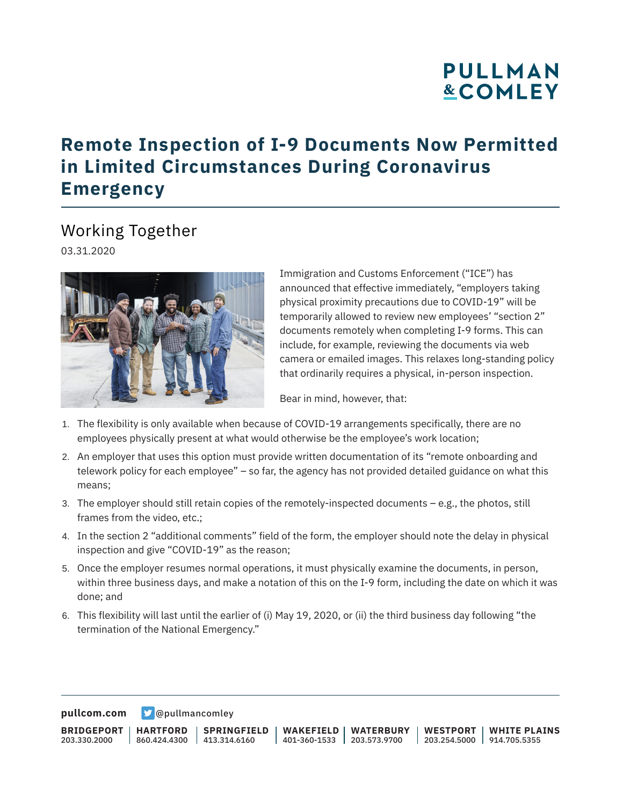## **PULLMAN &COMLEY**

## **Remote Inspection of I-9 Documents Now Permitted in Limited Circumstances During Coronavirus Emergency**

## Working Together

03.31.2020



Immigration and Customs Enforcement ("ICE") has announced that effective immediately, "employers taking physical proximity precautions due to COVID-19" will be temporarily allowed to review new employees' "section 2" documents remotely when completing I-9 forms. This can include, for example, reviewing the documents via web camera or emailed images. This relaxes long-standing policy that ordinarily requires a physical, in-person inspection.

Bear in mind, however, that:

- 1. The flexibility is only available when because of COVID-19 arrangements specifically, there are no employees physically present at what would otherwise be the employee's work location;
- 2. An employer that uses this option must provide written documentation of its "remote onboarding and telework policy for each employee" – so far, the agency has not provided detailed guidance on what this means;
- 3. The employer should still retain copies of the remotely-inspected documents e.g., the photos, still frames from the video, etc.;
- 4. In the section 2 "additional comments" field of the form, the employer should note the delay in physical inspection and give "COVID-19" as the reason;
- 5. Once the employer resumes normal operations, it must physically examine the documents, in person, within three business days, and make a notation of this on the I-9 form, including the date on which it was done; and
- 6. This flexibility will last until the earlier of (i) May 19, 2020, or (ii) the third business day following "the termination of the National Emergency."

**[pullcom.com](https://www.pullcom.com)** [@pullmancomley](https://twitter.com/PullmanComley)

**BRIDGEPORT** 203.330.2000 **HARTFORD** 860.424.4300 413.314.6160 **SPRINGFIELD WAKEFIELD** 401-360-1533 203.573.9700 **WATERBURY WESTPORT WHITE PLAINS** 203.254.5000 914.705.5355